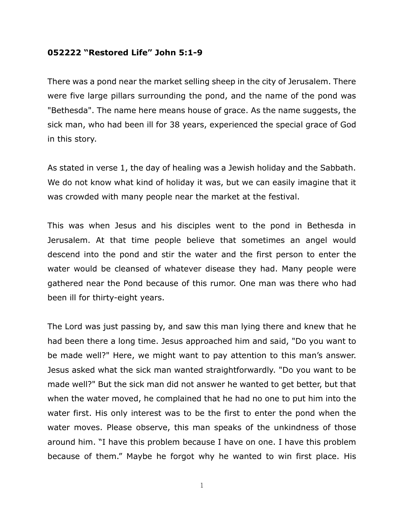## **052222 "Restored Life" John 5:1-9**

There was a pond near the market selling sheep in the city of Jerusalem. There were five large pillars surrounding the pond, and the name of the pond was "Bethesda". The name here means house of grace. As the name suggests, the sick man, who had been ill for 38 years, experienced the special grace of God in this story.

As stated in verse 1, the day of healing was a Jewish holiday and the Sabbath. We do not know what kind of holiday it was, but we can easily imagine that it was crowded with many people near the market at the festival.

This was when Jesus and his disciples went to the pond in Bethesda in Jerusalem. At that time people believe that sometimes an angel would descend into the pond and stir the water and the first person to enter the water would be cleansed of whatever disease they had. Many people were gathered near the Pond because of this rumor. One man was there who had been ill for thirty-eight years.

The Lord was just passing by, and saw this man lying there and knew that he had been there a long time. Jesus approached him and said, "Do you want to be made well?" Here, we might want to pay attention to this man's answer. Jesus asked what the sick man wanted straightforwardly. "Do you want to be made well?" But the sick man did not answer he wanted to get better, but that when the water moved, he complained that he had no one to put him into the water first. His only interest was to be the first to enter the pond when the water moves. Please observe, this man speaks of the unkindness of those around him. "I have this problem because I have on one. I have this problem because of them." Maybe he forgot why he wanted to win first place. His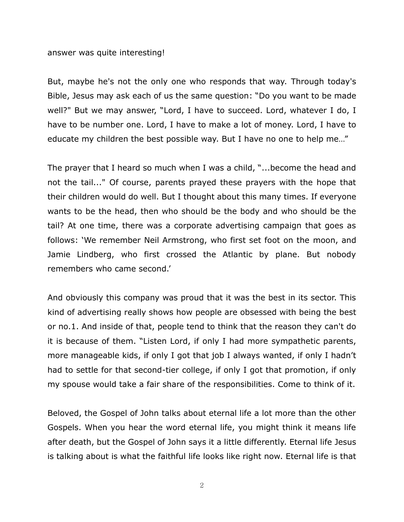## answer was quite interesting!

But, maybe he's not the only one who responds that way. Through today's Bible, Jesus may ask each of us the same question: "Do you want to be made well?" But we may answer, "Lord, I have to succeed. Lord, whatever I do, I have to be number one. Lord, I have to make a lot of money. Lord, I have to educate my children the best possible way. But I have no one to help me…"

The prayer that I heard so much when I was a child, "...become the head and not the tail..." Of course, parents prayed these prayers with the hope that their children would do well. But I thought about this many times. If everyone wants to be the head, then who should be the body and who should be the tail? At one time, there was a corporate advertising campaign that goes as follows: 'We remember Neil Armstrong, who first set foot on the moon, and Jamie Lindberg, who first crossed the Atlantic by plane. But nobody remembers who came second.'

And obviously this company was proud that it was the best in its sector. This kind of advertising really shows how people are obsessed with being the best or no.1. And inside of that, people tend to think that the reason they can't do it is because of them. "Listen Lord, if only I had more sympathetic parents, more manageable kids, if only I got that job I always wanted, if only I hadn't had to settle for that second-tier college, if only I got that promotion, if only my spouse would take a fair share of the responsibilities. Come to think of it.

Beloved, the Gospel of John talks about eternal life a lot more than the other Gospels. When you hear the word eternal life, you might think it means life after death, but the Gospel of John says it a little differently. Eternal life Jesus is talking about is what the faithful life looks like right now. Eternal life is that

2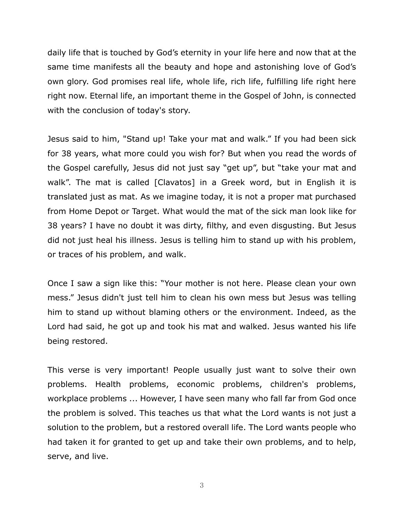daily life that is touched by God's eternity in your life here and now that at the same time manifests all the beauty and hope and astonishing love of God's own glory. God promises real life, whole life, rich life, fulfilling life right here right now. Eternal life, an important theme in the Gospel of John, is connected with the conclusion of today's story.

Jesus said to him, "Stand up! Take your mat and walk." If you had been sick for 38 years, what more could you wish for? But when you read the words of the Gospel carefully, Jesus did not just say "get up", but "take your mat and walk". The mat is called [Clavatos] in a Greek word, but in English it is translated just as mat. As we imagine today, it is not a proper mat purchased from Home Depot or Target. What would the mat of the sick man look like for 38 years? I have no doubt it was dirty, filthy, and even disgusting. But Jesus did not just heal his illness. Jesus is telling him to stand up with his problem, or traces of his problem, and walk.

Once I saw a sign like this: "Your mother is not here. Please clean your own mess." Jesus didn't just tell him to clean his own mess but Jesus was telling him to stand up without blaming others or the environment. Indeed, as the Lord had said, he got up and took his mat and walked. Jesus wanted his life being restored.

This verse is very important! People usually just want to solve their own problems. Health problems, economic problems, children's problems, workplace problems ... However, I have seen many who fall far from God once the problem is solved. This teaches us that what the Lord wants is not just a solution to the problem, but a restored overall life. The Lord wants people who had taken it for granted to get up and take their own problems, and to help, serve, and live.

3